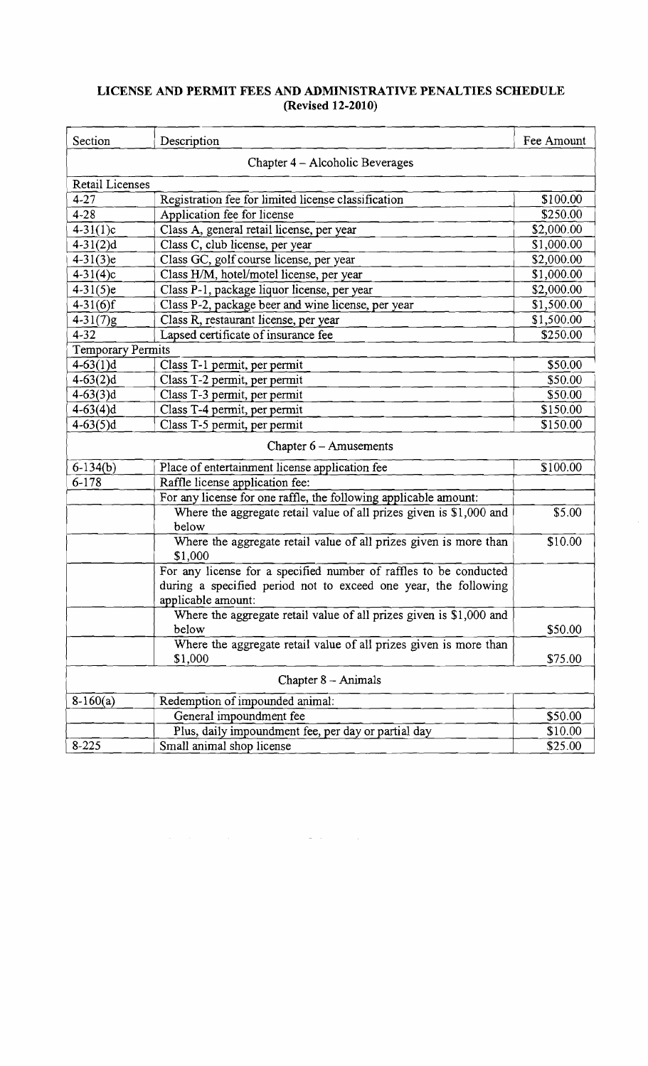## **LICENSE AND PERMIT FEES AND ADMINISTRATIVE PENALTIES SCHEDULE (Revised 12-2010)**

| Section                         | Description                                                                                                                                                | Fee Amount |  |  |
|---------------------------------|------------------------------------------------------------------------------------------------------------------------------------------------------------|------------|--|--|
| Chapter 4 - Alcoholic Beverages |                                                                                                                                                            |            |  |  |
| <b>Retail Licenses</b>          |                                                                                                                                                            |            |  |  |
| $4 - 27$                        | Registration fee for limited license classification                                                                                                        | \$100.00   |  |  |
| $4 - 28$                        | Application fee for license                                                                                                                                | \$250.00   |  |  |
| $4 - 31(1)c$                    | Class A, general retail license, per year                                                                                                                  | \$2,000.00 |  |  |
| $4-31(2)d$                      | Class C, club license, per year                                                                                                                            | \$1,000.00 |  |  |
| $4 - 31(3)e$                    | Class GC, golf course license, per year                                                                                                                    | \$2,000.00 |  |  |
| $4 - 31(4)c$                    | Class H/M, hotel/motel license, per year                                                                                                                   | \$1,000.00 |  |  |
| $4 - 31(5)e$                    | Class P-1, package liquor license, per year                                                                                                                | \$2,000.00 |  |  |
| $4 - 31(6)$ f                   | Class P-2, package beer and wine license, per year                                                                                                         | \$1,500.00 |  |  |
| $4 - 31(7)g$                    | Class R, restaurant license, per year                                                                                                                      | \$1,500.00 |  |  |
| $4 - 32$                        | Lapsed certificate of insurance fee                                                                                                                        | \$250.00   |  |  |
| <b>Temporary Permits</b>        |                                                                                                                                                            |            |  |  |
| $4 - 63(1)d$                    | Class T-1 permit, per permit                                                                                                                               | \$50.00    |  |  |
| $4-63(2)d$                      | Class T-2 permit, per permit                                                                                                                               | \$50.00    |  |  |
| $4 - 63(3)$ d                   | Class T-3 permit, per permit                                                                                                                               | \$50.00    |  |  |
| $4 - 63(4)d$                    | Class T-4 permit, per permit                                                                                                                               | \$150.00   |  |  |
| $4-63(5)d$                      | Class T-5 permit, per permit                                                                                                                               | \$150.00   |  |  |
| Chapter $6 -$ Amusements        |                                                                                                                                                            |            |  |  |
| $6 - 134(b)$                    | Place of entertainment license application fee                                                                                                             | \$100.00   |  |  |
| $6 - 178$                       | Raffle license application fee:                                                                                                                            |            |  |  |
|                                 | For any license for one raffle, the following applicable amount:                                                                                           |            |  |  |
|                                 | Where the aggregate retail value of all prizes given is \$1,000 and<br>below                                                                               | \$5.00     |  |  |
|                                 | Where the aggregate retail value of all prizes given is more than<br>\$1,000                                                                               | \$10.00    |  |  |
|                                 | For any license for a specified number of raffles to be conducted<br>during a specified period not to exceed one year, the following<br>applicable amount: |            |  |  |
|                                 | Where the aggregate retail value of all prizes given is \$1,000 and                                                                                        |            |  |  |
|                                 | below                                                                                                                                                      | \$50.00    |  |  |
|                                 | Where the aggregate retail value of all prizes given is more than<br>\$1,000                                                                               | \$75.00    |  |  |
| Chapter $8 -$ Animals           |                                                                                                                                                            |            |  |  |
|                                 |                                                                                                                                                            |            |  |  |
| $8-160(a)$                      | Redemption of impounded animal:<br>General impoundment fee                                                                                                 |            |  |  |
|                                 |                                                                                                                                                            | \$50.00    |  |  |
|                                 | Plus, daily impoundment fee, per day or partial day                                                                                                        | \$10.00    |  |  |
| $8 - 225$                       | Small animal shop license                                                                                                                                  | \$25.00    |  |  |

 $\label{eq:2.1} \frac{1}{2} \int_{\mathbb{R}^3} \left| \frac{d\mu}{d\mu} \right|^2 \, d\mu = \frac{1}{2} \int_{\mathbb{R}^3} \left| \frac{d\mu}{d\mu} \right|^2 \, d\mu = \frac{1}{2} \int_{\mathbb{R}^3} \left| \frac{d\mu}{d\mu} \right|^2 \, d\mu = \frac{1}{2} \int_{\mathbb{R}^3} \left| \frac{d\mu}{d\mu} \right|^2 \, d\mu = \frac{1}{2} \int_{\mathbb{R}^3} \left| \frac{d\mu}{d\mu} \right|^2 \,$ 

 $\bar{\gamma}$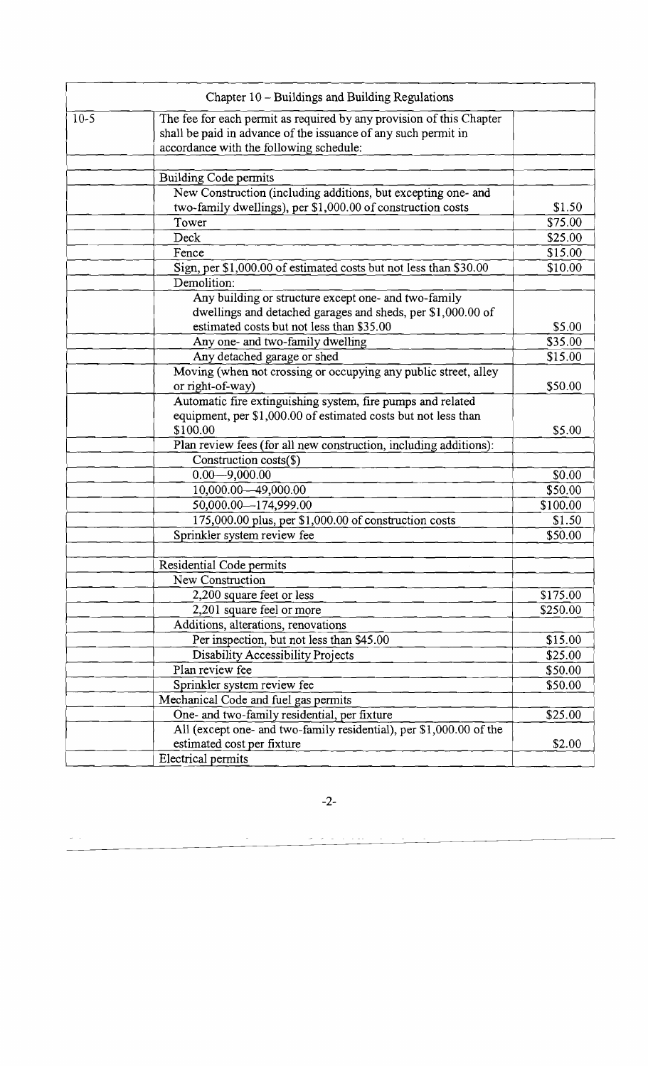|        | Chapter 10 - Buildings and Building Regulations                                                                                                                                   |          |  |
|--------|-----------------------------------------------------------------------------------------------------------------------------------------------------------------------------------|----------|--|
| $10-5$ | The fee for each permit as required by any provision of this Chapter<br>shall be paid in advance of the issuance of any such permit in<br>accordance with the following schedule: |          |  |
|        |                                                                                                                                                                                   |          |  |
|        | <b>Building Code permits</b>                                                                                                                                                      |          |  |
|        | New Construction (including additions, but excepting one- and<br>two-family dwellings), per \$1,000.00 of construction costs                                                      | \$1.50   |  |
|        | Tower                                                                                                                                                                             | \$75.00  |  |
|        | Deck                                                                                                                                                                              | \$25.00  |  |
|        | Fence                                                                                                                                                                             | \$15.00  |  |
|        | Sign, per \$1,000.00 of estimated costs but not less than \$30.00                                                                                                                 | \$10.00  |  |
|        | Demolition:                                                                                                                                                                       |          |  |
|        | Any building or structure except one- and two-family                                                                                                                              |          |  |
|        | dwellings and detached garages and sheds, per \$1,000.00 of                                                                                                                       |          |  |
|        | estimated costs but not less than \$35.00                                                                                                                                         | \$5.00   |  |
|        | Any one- and two-family dwelling                                                                                                                                                  | \$35.00  |  |
|        | Any detached garage or shed                                                                                                                                                       | \$15.00  |  |
|        | Moving (when not crossing or occupying any public street, alley                                                                                                                   |          |  |
|        | or right-of-way)                                                                                                                                                                  | \$50.00  |  |
|        | Automatic fire extinguishing system, fire pumps and related                                                                                                                       |          |  |
|        | equipment, per \$1,000.00 of estimated costs but not less than                                                                                                                    |          |  |
|        | \$100.00                                                                                                                                                                          | \$5.00   |  |
|        | Plan review fees (for all new construction, including additions):                                                                                                                 |          |  |
|        | Construction costs(\$)                                                                                                                                                            |          |  |
|        | $0.00 - 9,000.00$                                                                                                                                                                 | \$0.00   |  |
|        | 10,000.00 - 49,000.00                                                                                                                                                             | \$50.00  |  |
|        | 50,000.00 - 174,999.00                                                                                                                                                            | \$100.00 |  |
|        | 175,000.00 plus, per \$1,000.00 of construction costs                                                                                                                             | \$1.50   |  |
|        | Sprinkler system review fee                                                                                                                                                       | \$50.00  |  |
|        |                                                                                                                                                                                   |          |  |
|        | Residential Code permits                                                                                                                                                          |          |  |
|        | New Construction                                                                                                                                                                  |          |  |
|        | 2,200 square feet or less                                                                                                                                                         | \$175.00 |  |
|        | 2,201 square feel or more                                                                                                                                                         | \$250.00 |  |
|        | Additions, alterations, renovations                                                                                                                                               |          |  |
|        | Per inspection, but not less than \$45.00                                                                                                                                         | \$15.00  |  |
|        | Disability Accessibility Projects                                                                                                                                                 | \$25.00  |  |
|        | Plan review fee                                                                                                                                                                   | \$50.00  |  |
|        | Sprinkler system review fee                                                                                                                                                       | \$50.00  |  |
|        | Mechanical Code and fuel gas permits                                                                                                                                              |          |  |
|        | One- and two-family residential, per fixture                                                                                                                                      | \$25.00  |  |
|        | All (except one- and two-family residential), per \$1,000.00 of the                                                                                                               |          |  |
|        | estimated cost per fixture                                                                                                                                                        | \$2.00   |  |
|        | Electrical permits                                                                                                                                                                |          |  |

 $-2-$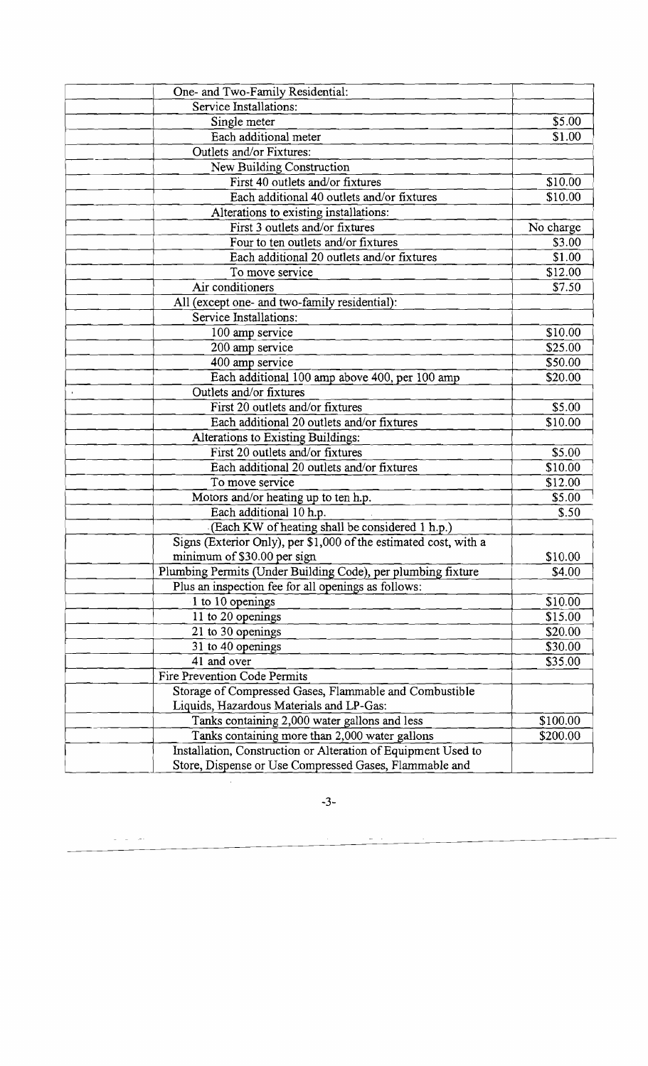| One- and Two-Family Residential:                                 |           |
|------------------------------------------------------------------|-----------|
| Service Installations:                                           |           |
| Single meter                                                     | \$5.00    |
| Each additional meter                                            | \$1.00    |
| Outlets and/or Fixtures:                                         |           |
| New Building Construction                                        |           |
| First 40 outlets and/or fixtures                                 | \$10.00   |
| Each additional 40 outlets and/or fixtures                       | \$10.00   |
| Alterations to existing installations:                           |           |
| First 3 outlets and/or fixtures                                  | No charge |
| Four to ten outlets and/or fixtures                              | \$3.00    |
| Each additional 20 outlets and/or fixtures                       | \$1.00    |
| To move service                                                  | \$12.00   |
| Air conditioners                                                 | \$7.50    |
| All (except one- and two-family residential):                    |           |
| Service Installations:                                           |           |
| 100 amp service                                                  | \$10.00   |
| 200 amp service                                                  | \$25.00   |
| 400 amp service                                                  | \$50.00   |
| Each additional 100 amp above 400, per 100 amp                   | \$20.00   |
| Outlets and/or fixtures                                          |           |
| First 20 outlets and/or fixtures                                 | \$5.00    |
| Each additional 20 outlets and/or fixtures                       | \$10.00   |
| Alterations to Existing Buildings:                               |           |
| First 20 outlets and/or fixtures                                 | \$5.00    |
| Each additional 20 outlets and/or fixtures                       | \$10.00   |
| To move service                                                  | \$12.00   |
| Motors and/or heating up to ten h.p.                             | \$5.00    |
| Each additional 10 h.p.                                          | \$.50     |
| (Each KW of heating shall be considered 1 h.p.)                  |           |
| Signs (Exterior Only), per \$1,000 of the estimated cost, with a |           |
| minimum of \$30.00 per sign                                      | \$10.00   |
| Plumbing Permits (Under Building Code), per plumbing fixture     | \$4.00    |
| Plus an inspection fee for all openings as follows:              |           |
| 1 to 10 openings                                                 | \$10.00   |
| 11 to 20 openings                                                | \$15.00   |
| 21 to 30 openings                                                | \$20.00   |
| 31 to 40 openings                                                | \$30.00   |
| 41 and over                                                      | \$35.00   |
| Fire Prevention Code Permits                                     |           |
| Storage of Compressed Gases, Flammable and Combustible           |           |
| Liquids, Hazardous Materials and LP-Gas:                         |           |
| Tanks containing 2,000 water gallons and less                    | \$100.00  |
| Tanks containing more than 2,000 water gallons                   | \$200.00  |
| Installation, Construction or Alteration of Equipment Used to    |           |
| Store, Dispense or Use Compressed Gases, Flammable and           |           |

-3

 $\ddot{\phantom{0}}$ 

 $\frac{1}{\pi} \left( \frac{1}{\pi} \right) = \frac{1}{\pi} \left( \frac{1}{\pi} \right)$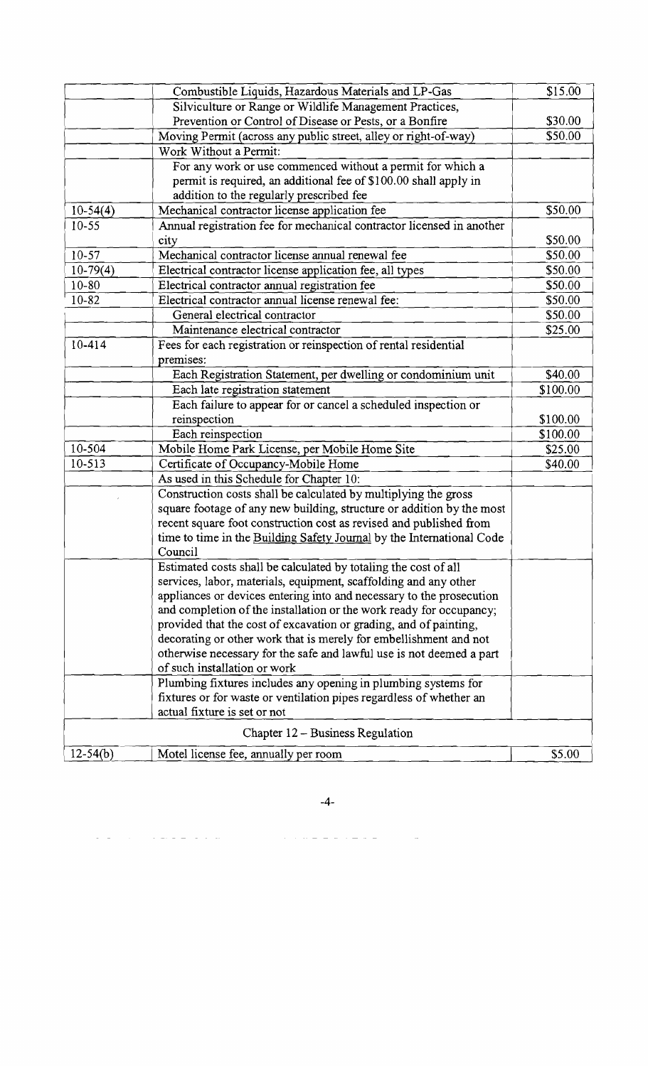|            | Combustible Liquids, Hazardous Materials and LP-Gas                   | \$15.00  |
|------------|-----------------------------------------------------------------------|----------|
|            | Silviculture or Range or Wildlife Management Practices,               |          |
|            | Prevention or Control of Disease or Pests, or a Bonfire               | \$30.00  |
|            | Moving Permit (across any public street, alley or right-of-way)       | \$50.00  |
|            | Work Without a Permit:                                                |          |
|            | For any work or use commenced without a permit for which a            |          |
|            | permit is required, an additional fee of \$100.00 shall apply in      |          |
|            | addition to the regularly prescribed fee                              |          |
| $10-54(4)$ | Mechanical contractor license application fee                         | \$50.00  |
| $10 - 55$  | Annual registration fee for mechanical contractor licensed in another |          |
|            | city                                                                  | \$50.00  |
| $10 - 57$  | Mechanical contractor license annual renewal fee                      | \$50.00  |
| $10-79(4)$ | Electrical contractor license application fee, all types              | \$50.00  |
| $10 - 80$  | Electrical contractor annual registration fee                         | \$50.00  |
| 10-82      | Electrical contractor annual license renewal fee:                     | \$50.00  |
|            | General electrical contractor                                         | \$50.00  |
|            | Maintenance electrical contractor                                     | \$25.00  |
| $10 - 414$ | Fees for each registration or reinspection of rental residential      |          |
|            | premises:                                                             |          |
|            | Each Registration Statement, per dwelling or condominium unit         | \$40.00  |
|            | Each late registration statement                                      | \$100.00 |
|            | Each failure to appear for or cancel a scheduled inspection or        |          |
|            | reinspection                                                          | \$100.00 |
|            | Each reinspection                                                     | \$100.00 |
| 10-504     | Mobile Home Park License, per Mobile Home Site                        | \$25.00  |
| 10-513     | Certificate of Occupancy-Mobile Home                                  | \$40.00  |
|            | As used in this Schedule for Chapter 10:                              |          |
|            | Construction costs shall be calculated by multiplying the gross       |          |
|            | square footage of any new building, structure or addition by the most |          |
|            | recent square foot construction cost as revised and published from    |          |
|            | time to time in the Building Safety Journal by the International Code |          |
|            | Council                                                               |          |
|            | Estimated costs shall be calculated by totaling the cost of all       |          |
|            | services, labor, materials, equipment, scaffolding and any other      |          |
|            | appliances or devices entering into and necessary to the prosecution  |          |
|            | and completion of the installation or the work ready for occupancy;   |          |
|            | provided that the cost of excavation or grading, and of painting,     |          |
|            | decorating or other work that is merely for embellishment and not     |          |
|            | otherwise necessary for the safe and lawful use is not deemed a part  |          |
|            | of such installation or work                                          |          |
|            | Plumbing fixtures includes any opening in plumbing systems for        |          |
|            | fixtures or for waste or ventilation pipes regardless of whether an   |          |
|            | actual fixture is set or not                                          |          |
|            | Chapter 12 – Business Regulation                                      |          |
| $12-54(b)$ | Motel license fee, annually per room                                  | \$5.00   |
|            |                                                                       |          |

 $-4-$ 

a provincia proporciones de la construcción de la construcción de la construcción de la construcción de la con